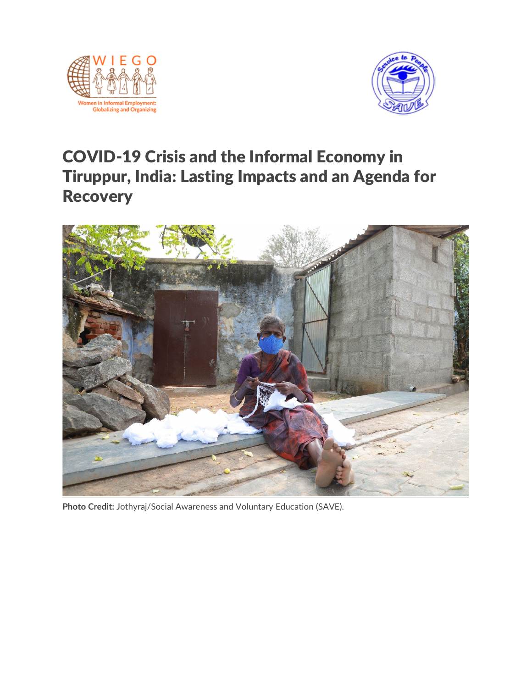



# COVID-19 Crisis and the Informal Economy in Tiruppur, India: Lasting Impacts and an Agenda for **Recovery**



**Photo Credit:** Jothyraj/Social Awareness and Voluntary Education (SAVE).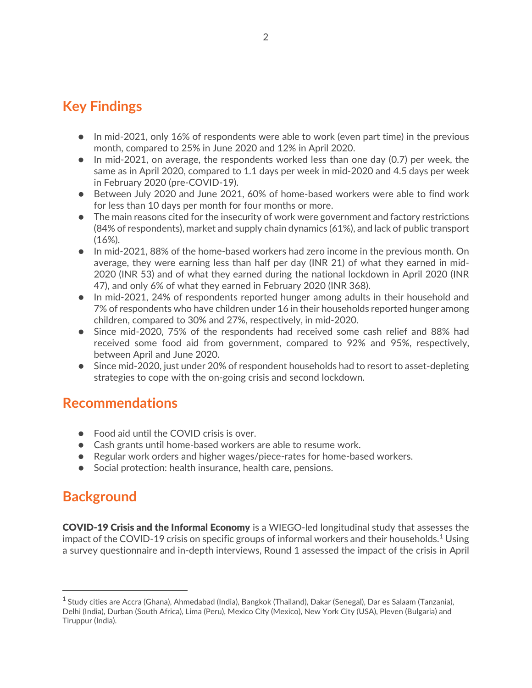# **Key Findings**

- In mid-2021, only 16% of respondents were able to work (even part time) in the previous month, compared to 25% in June 2020 and 12% in April 2020.
- In mid-2021, on average, the respondents worked less than one day (0.7) per week, the same as in April 2020, compared to 1.1 days per week in mid-2020 and 4.5 days per week in February 2020 (pre-COVID-19).
- Between July 2020 and June 2021, 60% of home-based workers were able to find work for less than 10 days per month for four months or more.
- The main reasons cited for the insecurity of work were government and factory restrictions (84% of respondents), market and supply chain dynamics (61%), and lack of public transport (16%).
- In mid-2021, 88% of the home-based workers had zero income in the previous month. On average, they were earning less than half per day (INR 21) of what they earned in mid-2020 (INR 53) and of what they earned during the national lockdown in April 2020 (INR 47), and only 6% of what they earned in February 2020 (INR 368).
- In mid-2021, 24% of respondents reported hunger among adults in their household and 7% of respondents who have children under 16 in their households reported hunger among children, compared to 30% and 27%, respectively, in mid-2020.
- Since mid-2020, 75% of the respondents had received some cash relief and 88% had received some food aid from government, compared to 92% and 95%, respectively, between April and June 2020.
- Since mid-2020, just under 20% of respondent households had to resort to asset-depleting strategies to cope with the on-going crisis and second lockdown.

### **Recommendations**

- Food aid until the COVID crisis is over.
- Cash grants until home-based workers are able to resume work.
- Regular work orders and higher wages/piece-rates for home-based workers.
- Social protection: health insurance, health care, pensions.

# **Background**

COVID-19 Crisis and the Informal Economy is a WIEGO-led longitudinal study that assesses the impact of the COVID-[1](#page-1-0)9 crisis on specific groups of informal workers and their households.<sup>1</sup> Using a survey questionnaire and in-depth interviews, Round 1 assessed the impact of the crisis in April

<span id="page-1-0"></span><sup>&</sup>lt;sup>1</sup> Study cities are Accra (Ghana), Ahmedabad (India), Bangkok (Thailand), Dakar (Senegal), Dar es Salaam (Tanzania), Delhi (India), Durban (South Africa), Lima (Peru), Mexico City (Mexico), New York City (USA), Pleven (Bulgaria) and Tiruppur (India).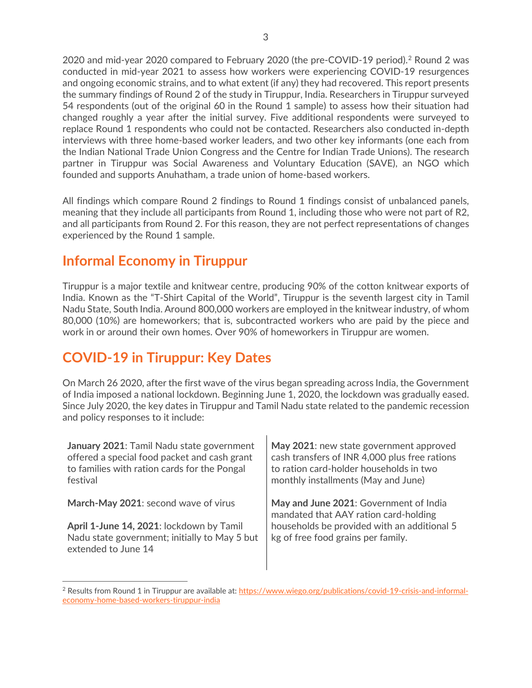[2](#page-2-0)020 and mid-year 2020 compared to February 2020 (the pre-COVID-19 period).<sup>2</sup> Round 2 was conducted in mid-year 2021 to assess how workers were experiencing COVID-19 resurgences and ongoing economic strains, and to what extent (if any) they had recovered. This report presents the summary findings of Round 2 of the study in Tiruppur, India. Researchers in Tiruppur surveyed 54 respondents (out of the original 60 in the Round 1 sample) to assess how their situation had changed roughly a year after the initial survey. Five additional respondents were surveyed to replace Round 1 respondents who could not be contacted. Researchers also conducted in-depth interviews with three home-based worker leaders, and two other key informants (one each from the Indian National Trade Union Congress and the Centre for Indian Trade Unions). The research partner in Tiruppur was Social Awareness and Voluntary Education (SAVE), an NGO which founded and supports Anuhatham, a trade union of home-based workers.

All findings which compare Round 2 findings to Round 1 findings consist of unbalanced panels, meaning that they include all participants from Round 1, including those who were not part of R2, and all participants from Round 2. For this reason, they are not perfect representations of changes experienced by the Round 1 sample.

# **Informal Economy in Tiruppur**

Tiruppur is a major textile and knitwear centre, producing 90% of the cotton knitwear exports of India. Known as the "T-Shirt Capital of the World", Tiruppur is the seventh largest city in Tamil Nadu State, South India. Around 800,000 workers are employed in the knitwear industry, of whom 80,000 (10%) are homeworkers; that is, subcontracted workers who are paid by the piece and work in or around their own homes. Over 90% of homeworkers in Tiruppur are women.

# **COVID-19 in Tiruppur: Key Dates**

On March 26 2020, after the first wave of the virus began spreading across India, the Government of India imposed a national lockdown. Beginning June 1, 2020, the lockdown was gradually eased. Since July 2020, the key dates in Tiruppur and Tamil Nadu state related to the pandemic recession and policy responses to it include:

| January 2021: Tamil Nadu state government<br>offered a special food packet and cash grant<br>to families with ration cards for the Pongal<br>festival | May 2021: new state government approved<br>cash transfers of INR 4,000 plus free rations<br>to ration card-holder households in two<br>monthly installments (May and June) |
|-------------------------------------------------------------------------------------------------------------------------------------------------------|----------------------------------------------------------------------------------------------------------------------------------------------------------------------------|
| March-May 2021: second wave of virus                                                                                                                  | May and June 2021: Government of India<br>mandated that AAY ration card-holding                                                                                            |
| April 1-June 14, 2021: lockdown by Tamil<br>Nadu state government; initially to May 5 but<br>extended to June 14                                      | households be provided with an additional 5<br>kg of free food grains per family.                                                                                          |

<span id="page-2-0"></span><sup>2</sup> Results from Round 1 in Tiruppur are available at: [https://www.wiego.org/publications/covid-19-crisis-and-informal](https://www.wiego.org/publications/covid-19-crisis-and-informal-economy-home-based-workers-tiruppur-india)[economy-home-based-workers-tiruppur-india](https://www.wiego.org/publications/covid-19-crisis-and-informal-economy-home-based-workers-tiruppur-india)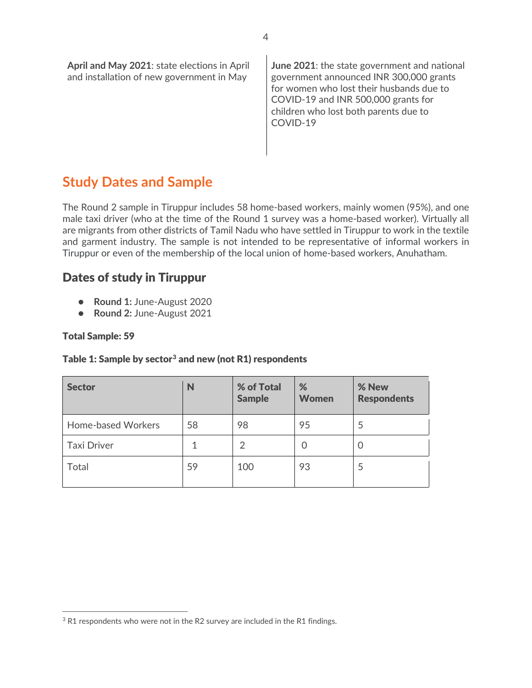| April and May 2021: state elections in April<br>and installation of new government in May | <b>June 2021:</b> the state government and national<br>government announced INR 300,000 grants<br>for women who lost their husbands due to<br>COVID-19 and INR 500,000 grants for<br>children who lost both parents due to<br>COVID-19 |
|-------------------------------------------------------------------------------------------|----------------------------------------------------------------------------------------------------------------------------------------------------------------------------------------------------------------------------------------|
|-------------------------------------------------------------------------------------------|----------------------------------------------------------------------------------------------------------------------------------------------------------------------------------------------------------------------------------------|

## **Study Dates and Sample**

The Round 2 sample in Tiruppur includes 58 home-based workers, mainly women (95%), and one male taxi driver (who at the time of the Round 1 survey was a home-based worker). Virtually all are migrants from other districts of Tamil Nadu who have settled in Tiruppur to work in the textile and garment industry. The sample is not intended to be representative of informal workers in Tiruppur or even of the membership of the local union of home-based workers, Anuhatham.

#### Dates of study in Tiruppur

- **Round 1:** June-August 2020
- **Round 2:** June-August 2021

#### Total Sample: 59

#### Table 1: Sample by sector<sup>[3](#page-3-0)</sup> and new (not R1) respondents

| <b>Sector</b>      | N  | % of Total<br><b>Sample</b> | %<br><b>Women</b> | % New<br><b>Respondents</b> |
|--------------------|----|-----------------------------|-------------------|-----------------------------|
| Home-based Workers | 58 | 98                          | 95                | Ь                           |
| <b>Taxi Driver</b> |    | 2                           |                   | U                           |
| Total              | 59 | 100                         | 93                | 5                           |

<span id="page-3-0"></span><sup>&</sup>lt;sup>3</sup> R1 respondents who were not in the R2 survey are included in the R1 findings.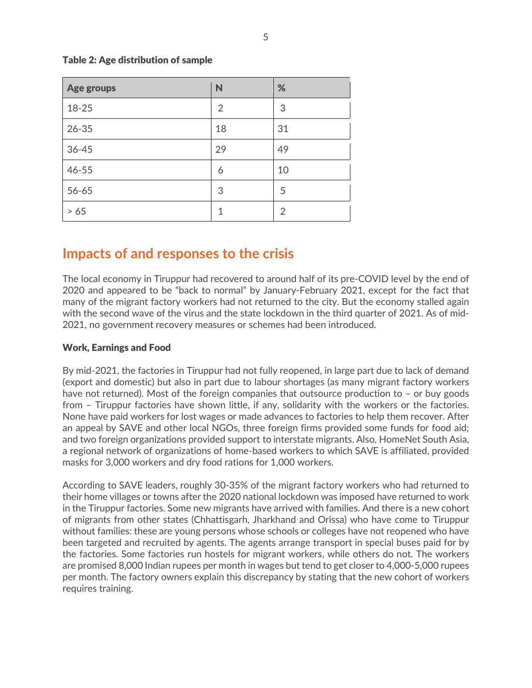| <b>Age groups</b> | N              | %  |
|-------------------|----------------|----|
| 18-25             | $\overline{2}$ | 3  |
| $26 - 35$         | 18             | 31 |
| $36 - 45$         | 29             | 49 |
| $46 - 55$         | 6              | 10 |
| 56-65             | 3              | 5  |
| > 65              | 1              | 2  |

#### Table 2: Age distribution of sample

#### **Impacts of and responses to the crisis**

The local economy in Tiruppur had recovered to around half of its pre-COVID level by the end of 2020 and appeared to be "back to normal" by January-February 2021, except for the fact that many of the migrant factory workers had not returned to the city. But the economy stalled again with the second wave of the virus and the state lockdown in the third quarter of 2021. As of mid-2021, no government recovery measures or schemes had been introduced.

#### Work, Earnings and Food

By mid-2021, the factories in Tiruppur had not fully reopened, in large part due to lack of demand (export and domestic) but also in part due to labour shortages (as many migrant factory workers have not returned). Most of the foreign companies that outsource production to - or buy goods from – Tiruppur factories have shown little, if any, solidarity with the workers or the factories. None have paid workers for lost wages or made advances to factories to help them recover. After an appeal by SAVE and other local NGOs, three foreign firms provided some funds for food aid; and two foreign organizations provided support to interstate migrants. Also, HomeNet South Asia, a regional network of organizations of home-based workers to which SAVE is affiliated, provided masks for 3,000 workers and dry food rations for 1,000 workers.

According to SAVE leaders, roughly 30-35% of the migrant factory workers who had returned to their home villages or towns after the 2020 national lockdown was imposed have returned to work in the Tiruppur factories. Some new migrants have arrived with families. And there is a new cohort of migrants from other states (Chhattisgarh, Jharkhand and Orissa) who have come to Tiruppur without families: these are young persons whose schools or colleges have not reopened who have been targeted and recruited by agents. The agents arrange transport in special buses paid for by the factories. Some factories run hostels for migrant workers, while others do not. The workers are promised 8,000 Indian rupees per month in wages but tend to get closer to 4,000-5,000 rupees per month. The factory owners explain this discrepancy by stating that the new cohort of workers requires training.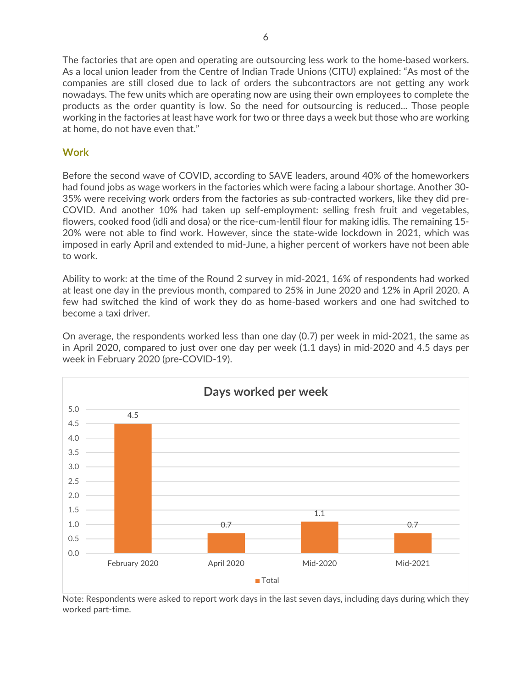The factories that are open and operating are outsourcing less work to the home-based workers. As a local union leader from the Centre of Indian Trade Unions (CITU) explained: "As most of the companies are still closed due to lack of orders the subcontractors are not getting any work nowadays. The few units which are operating now are using their own employees to complete the products as the order quantity is low. So the need for outsourcing is reduced... Those people working in the factories at least have work for two or three days a week but those who are working at home, do not have even that."

#### **Work**

Before the second wave of COVID, according to SAVE leaders, around 40% of the homeworkers had found jobs as wage workers in the factories which were facing a labour shortage. Another 30- 35% were receiving work orders from the factories as sub-contracted workers, like they did pre-COVID. And another 10% had taken up self-employment: selling fresh fruit and vegetables, flowers, cooked food (idli and dosa) or the rice-cum-lentil flour for making idlis. The remaining 15- 20% were not able to find work. However, since the state-wide lockdown in 2021, which was imposed in early April and extended to mid-June, a higher percent of workers have not been able to work.

Ability to work: at the time of the Round 2 survey in mid-2021, 16% of respondents had worked at least one day in the previous month, compared to 25% in June 2020 and 12% in April 2020. A few had switched the kind of work they do as home-based workers and one had switched to become a taxi driver.

On average, the respondents worked less than one day (0.7) per week in mid-2021, the same as in April 2020, compared to just over one day per week (1.1 days) in mid-2020 and 4.5 days per week in February 2020 (pre-COVID-19).



Note: Respondents were asked to report work days in the last seven days, including days during which they worked part-time.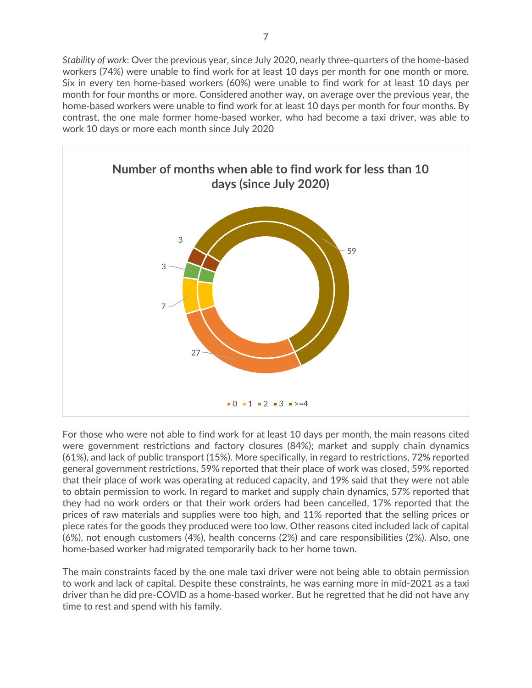*Stability of work*: Over the previous year, since July 2020, nearly three-quarters of the home-based workers (74%) were unable to find work for at least 10 days per month for one month or more. Six in every ten home-based workers (60%) were unable to find work for at least 10 days per month for four months or more. Considered another way, on average over the previous year, the home-based workers were unable to find work for at least 10 days per month for four months. By contrast, the one male former home-based worker, who had become a taxi driver, was able to work 10 days or more each month since July 2020



For those who were not able to find work for at least 10 days per month, the main reasons cited were government restrictions and factory closures (84%); market and supply chain dynamics (61%), and lack of public transport (15%). More specifically, in regard to restrictions, 72% reported general government restrictions, 59% reported that their place of work was closed, 59% reported that their place of work was operating at reduced capacity, and 19% said that they were not able to obtain permission to work. In regard to market and supply chain dynamics, 57% reported that they had no work orders or that their work orders had been cancelled, 17% reported that the prices of raw materials and supplies were too high, and 11% reported that the selling prices or piece rates for the goods they produced were too low. Other reasons cited included lack of capital (6%), not enough customers (4%), health concerns (2%) and care responsibilities (2%). Also, one home-based worker had migrated temporarily back to her home town.

The main constraints faced by the one male taxi driver were not being able to obtain permission to work and lack of capital. Despite these constraints, he was earning more in mid-2021 as a taxi driver than he did pre-COVID as a home-based worker. But he regretted that he did not have any time to rest and spend with his family.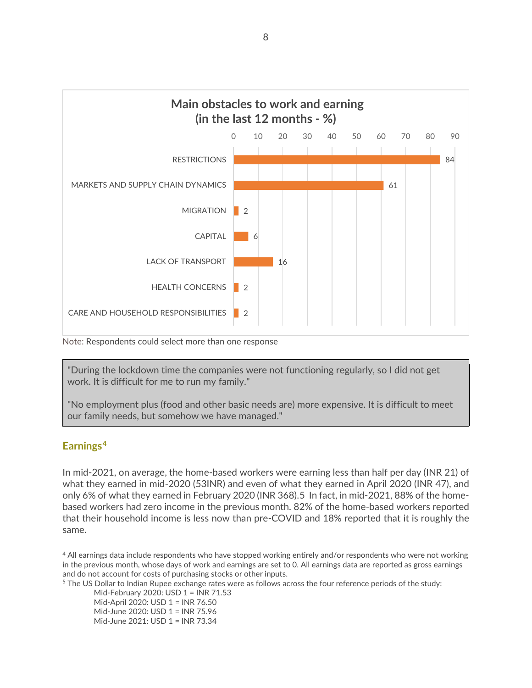

Note: Respondents could select more than one response

"During the lockdown time the companies were not functioning regularly, so I did not get work. It is difficult for me to run my family."

"No employment plus (food and other basic needs are) more expensive. It is difficult to meet our family needs, but somehow we have managed."

#### **Earnings[4](#page-7-0)**

In mid-2021, on average, the home-based workers were earning less than half per day (INR 21) of what they earned in mid-2020 (53INR) and even of what they earned in April 2020 (INR 47), and only 6% of what they earned in February 2020 (INR 368).[5](#page-7-1) In fact, in mid-2021, 88% of the homebased workers had zero income in the previous month. 82% of the home-based workers reported that their household income is less now than pre-COVID and 18% reported that it is roughly the same.

<span id="page-7-1"></span><sup>5</sup> The US Dollar to Indian Rupee exchange rates were as follows across the four reference periods of the study:

Mid-February 2020: USD 1 = INR 71.53 Mid-April 2020: USD 1 = INR 76.50 Mid-June 2020: USD 1 = INR 75.96 Mid-June 2021: USD 1 = INR 73.34

<span id="page-7-0"></span><sup>4</sup> All earnings data include respondents who have stopped working entirely and/or respondents who were not working in the previous month, whose days of work and earnings are set to 0. All earnings data are reported as gross earnings and do not account for costs of purchasing stocks or other inputs.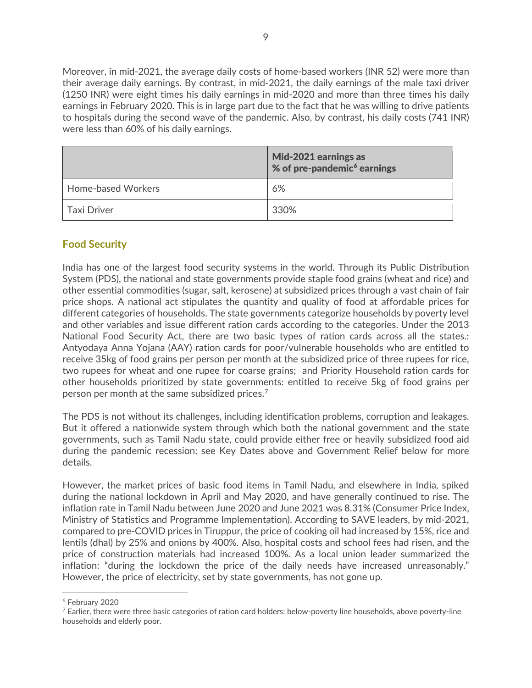Moreover, in mid-2021, the average daily costs of home-based workers (INR 52) were more than their average daily earnings. By contrast, in mid-2021, the daily earnings of the male taxi driver (1250 INR) were eight times his daily earnings in mid-2020 and more than three times his daily earnings in February 2020. This is in large part due to the fact that he was willing to drive patients to hospitals during the second wave of the pandemic. Also, by contrast, his daily costs (741 INR) were less than 60% of his daily earnings.

|                           | Mid-2021 earnings as<br>% of pre-pandemic $6$ earnings |
|---------------------------|--------------------------------------------------------|
| <b>Home-based Workers</b> | 6%                                                     |
| Taxi Driver               | 330%                                                   |

#### **Food Security**

India has one of the largest food security systems in the world. Through its Public Distribution System (PDS), the national and state governments provide staple food grains (wheat and rice) and other essential commodities (sugar, salt, kerosene) at subsidized prices through a vast chain of fair price shops. A national act stipulates the quantity and quality of food at affordable prices for different categories of households. The state governments categorize households by poverty level and other variables and issue different ration cards according to the categories. Under the 2013 National Food Security Act, there are two basic types of ration cards across all the states.: Antyodaya Anna Yojana (AAY) ration cards for poor/vulnerable households who are entitled to receive 35kg of food grains per person per month at the subsidized price of three rupees for rice, two rupees for wheat and one rupee for coarse grains; and Priority Household ration cards for other households prioritized by state governments: entitled to receive 5kg of food grains per person per month at the same subsidized prices.<sup>[7](#page-8-1)</sup>

The PDS is not without its challenges, including identification problems, corruption and leakages. But it offered a nationwide system through which both the national government and the state governments, such as Tamil Nadu state, could provide either free or heavily subsidized food aid during the pandemic recession: see Key Dates above and Government Relief below for more details.

However, the market prices of basic food items in Tamil Nadu, and elsewhere in India, spiked during the national lockdown in April and May 2020, and have generally continued to rise. The inflation rate in Tamil Nadu between June 2020 and June 2021 was 8.31% (Consumer Price Index, Ministry of Statistics and Programme Implementation). According to SAVE leaders, by mid-2021, compared to pre-COVID prices in Tiruppur, the price of cooking oil had increased by 15%, rice and lentils (dhal) by 25% and onions by 400%. Also, hospital costs and school fees had risen, and the price of construction materials had increased 100%. As a local union leader summarized the inflation: "during the lockdown the price of the daily needs have increased unreasonably." However, the price of electricity, set by state governments, has not gone up.

<span id="page-8-0"></span><sup>6</sup> February 2020

<span id="page-8-1"></span><sup>&</sup>lt;sup>7</sup> Earlier, there were three basic categories of ration card holders: below-poverty line households, above poverty-line households and elderly poor.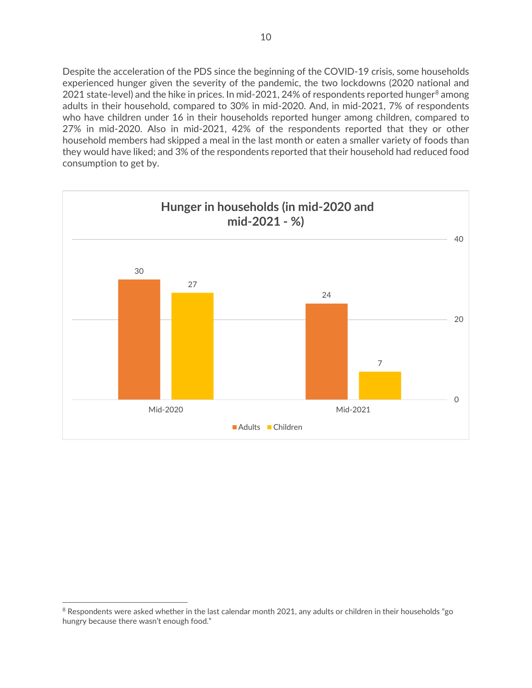Despite the acceleration of the PDS since the beginning of the COVID-19 crisis, some households experienced hunger given the severity of the pandemic, the two lockdowns (2020 national and 2021 state-level) and the hike in prices. In mid-2021, 24% of respondents reported hunger<sup>[8](#page-9-0)</sup> among adults in their household, compared to 30% in mid-2020. And, in mid-2021, 7% of respondents who have children under 16 in their households reported hunger among children, compared to 27% in mid-2020. Also in mid-2021, 42% of the respondents reported that they or other household members had skipped a meal in the last month or eaten a smaller variety of foods than they would have liked; and 3% of the respondents reported that their household had reduced food consumption to get by.



<span id="page-9-0"></span><sup>&</sup>lt;sup>8</sup> Respondents were asked whether in the last calendar month 2021, any adults or children in their households "go hungry because there wasn't enough food."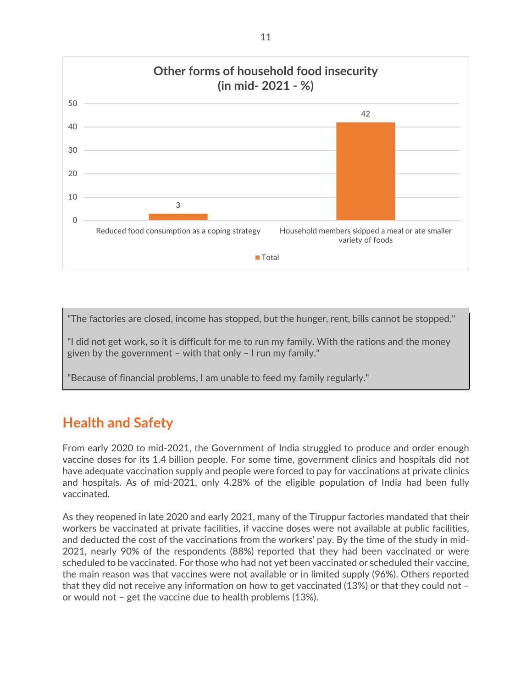

"The factories are closed, income has stopped, but the hunger, rent, bills cannot be stopped."

"I did not get work, so it is difficult for me to run my family. With the rations and the money given by the government – with that only – I run my family."

"Because of financial problems, I am unable to feed my family regularly."

### **Health and Safety**

From early 2020 to mid-2021, the Government of India struggled to produce and order enough vaccine doses for its 1.4 billion people. For some time, government clinics and hospitals did not have adequate vaccination supply and people were forced to pay for vaccinations at private clinics and hospitals. As of mid-2021, only 4.28% of the eligible population of India had been fully vaccinated.

As they reopened in late 2020 and early 2021, many of the Tiruppur factories mandated that their workers be vaccinated at private facilities, if vaccine doses were not available at public facilities, and deducted the cost of the vaccinations from the workers' pay. By the time of the study in mid-2021, nearly 90% of the respondents (88%) reported that they had been vaccinated or were scheduled to be vaccinated. For those who had not yet been vaccinated or scheduled their vaccine, the main reason was that vaccines were not available or in limited supply (96%). Others reported that they did not receive any information on how to get vaccinated (13%) or that they could not – or would not – get the vaccine due to health problems (13%).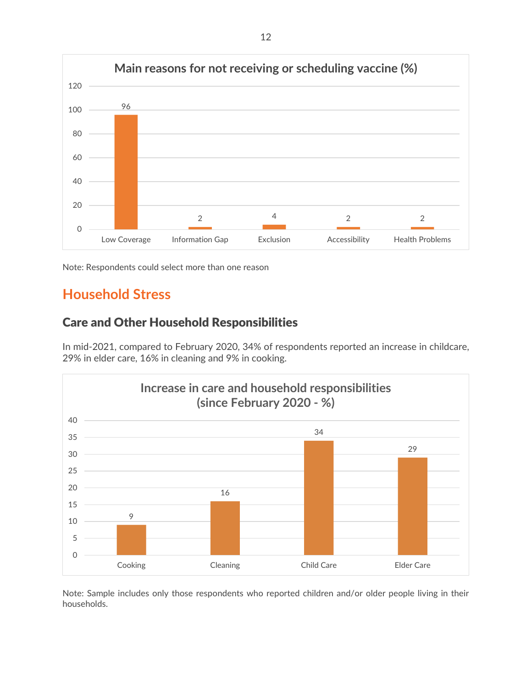

Note: Respondents could select more than one reason

# **Household Stress**

#### Care and Other Household Responsibilities

In mid-2021, compared to February 2020, 34% of respondents reported an increase in childcare, 29% in elder care, 16% in cleaning and 9% in cooking.



Note: Sample includes only those respondents who reported children and/or older people living in their households.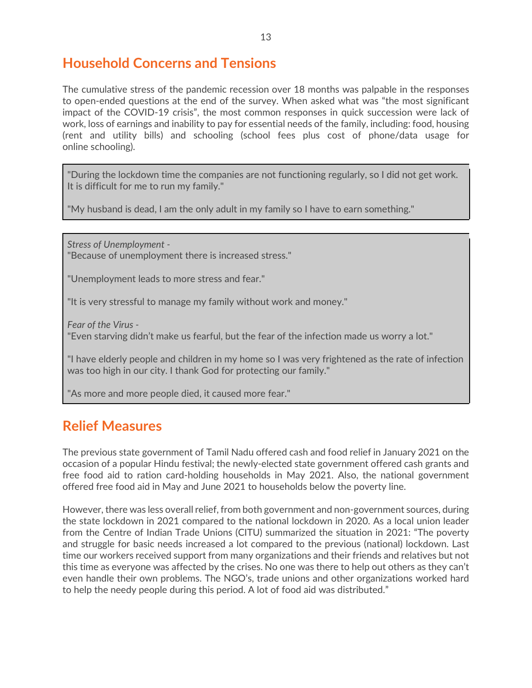## **Household Concerns and Tensions**

The cumulative stress of the pandemic recession over 18 months was palpable in the responses to open-ended questions at the end of the survey. When asked what was "the most significant impact of the COVID-19 crisis", the most common responses in quick succession were lack of work, loss of earnings and inability to pay for essential needs of the family, including: food, housing (rent and utility bills) and schooling (school fees plus cost of phone/data usage for online schooling).

"During the lockdown time the companies are not functioning regularly, so I did not get work. It is difficult for me to run my family."

"My husband is dead, I am the only adult in my family so I have to earn something."

*Stress of Unemployment -* "Because of unemployment there is increased stress."

"Unemployment leads to more stress and fear."

"It is very stressful to manage my family without work and money."

*Fear of the Virus -*

"Even starving didn't make us fearful, but the fear of the infection made us worry a lot."

"I have elderly people and children in my home so I was very frightened as the rate of infection was too high in our city. I thank God for protecting our family."

"As more and more people died, it caused more fear."

### **Relief Measures**

The previous state government of Tamil Nadu offered cash and food relief in January 2021 on the occasion of a popular Hindu festival; the newly-elected state government offered cash grants and free food aid to ration card-holding households in May 2021. Also, the national government offered free food aid in May and June 2021 to households below the poverty line.

However, there was less overall relief, from both government and non-government sources, during the state lockdown in 2021 compared to the national lockdown in 2020. As a local union leader from the Centre of Indian Trade Unions (CITU) summarized the situation in 2021: "The poverty and struggle for basic needs increased a lot compared to the previous (national) lockdown. Last time our workers received support from many organizations and their friends and relatives but not this time as everyone was affected by the crises. No one was there to help out others as they can't even handle their own problems. The NGO's, trade unions and other organizations worked hard to help the needy people during this period. A lot of food aid was distributed."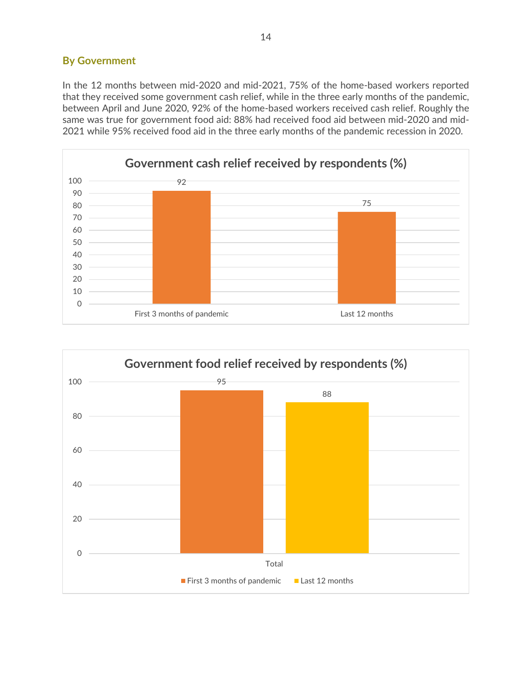#### **By Government**

In the 12 months between mid-2020 and mid-2021, 75% of the home-based workers reported that they received some government cash relief, while in the three early months of the pandemic, between April and June 2020, 92% of the home-based workers received cash relief. Roughly the same was true for government food aid: 88% had received food aid between mid-2020 and mid-2021 while 95% received food aid in the three early months of the pandemic recession in 2020.



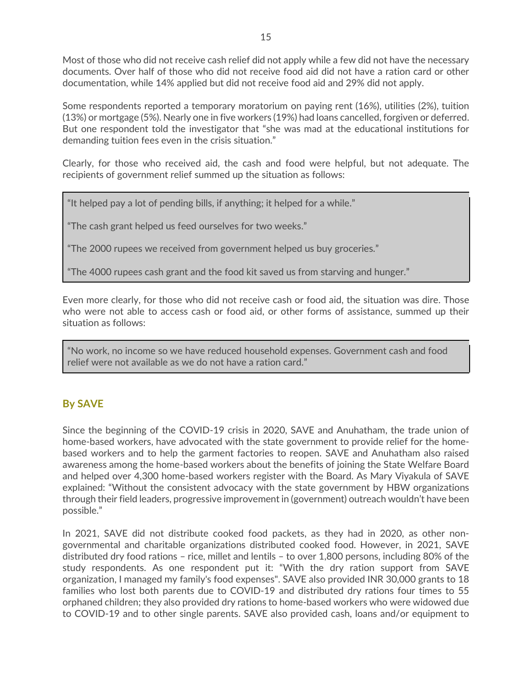Most of those who did not receive cash relief did not apply while a few did not have the necessary documents. Over half of those who did not receive food aid did not have a ration card or other documentation, while 14% applied but did not receive food aid and 29% did not apply.

Some respondents reported a temporary moratorium on paying rent (16%), utilities (2%), tuition (13%) or mortgage (5%). Nearly one in five workers (19%) had loans cancelled, forgiven or deferred. But one respondent told the investigator that "she was mad at the educational institutions for demanding tuition fees even in the crisis situation."

Clearly, for those who received aid, the cash and food were helpful, but not adequate. The recipients of government relief summed up the situation as follows:

"It helped pay a lot of pending bills, if anything; it helped for a while."

"The cash grant helped us feed ourselves for two weeks."

"The 2000 rupees we received from government helped us buy groceries."

"The 4000 rupees cash grant and the food kit saved us from starving and hunger."

Even more clearly, for those who did not receive cash or food aid, the situation was dire. Those who were not able to access cash or food aid, or other forms of assistance, summed up their situation as follows:

"No work, no income so we have reduced household expenses. Government cash and food relief were not available as we do not have a ration card."

#### **By SAVE**

Since the beginning of the COVID-19 crisis in 2020, SAVE and Anuhatham, the trade union of home-based workers, have advocated with the state government to provide relief for the homebased workers and to help the garment factories to reopen. SAVE and Anuhatham also raised awareness among the home-based workers about the benefits of joining the State Welfare Board and helped over 4,300 home-based workers register with the Board. As Mary Viyakula of SAVE explained: "Without the consistent advocacy with the state government by HBW organizations through their field leaders, progressive improvement in (government) outreach wouldn't have been possible."

In 2021, SAVE did not distribute cooked food packets, as they had in 2020, as other nongovernmental and charitable organizations distributed cooked food. However, in 2021, SAVE distributed dry food rations – rice, millet and lentils – to over 1,800 persons, including 80% of the study respondents. As one respondent put it: "With the dry ration support from SAVE organization, I managed my family's food expenses". SAVE also provided INR 30,000 grants to 18 families who lost both parents due to COVID-19 and distributed dry rations four times to 55 orphaned children; they also provided dry rations to home-based workers who were widowed due to COVID-19 and to other single parents. SAVE also provided cash, loans and/or equipment to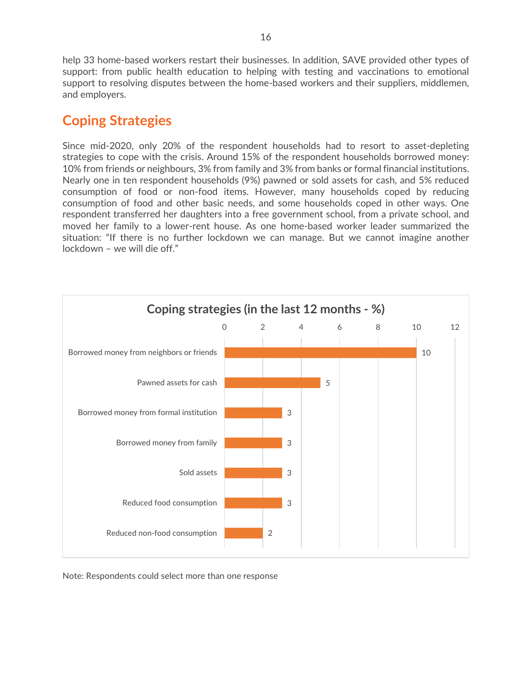help 33 home-based workers restart their businesses. In addition, SAVE provided other types of support: from public health education to helping with testing and vaccinations to emotional support to resolving disputes between the home-based workers and their suppliers, middlemen, and employers.

### **Coping Strategies**

Since mid-2020, only 20% of the respondent households had to resort to asset-depleting strategies to cope with the crisis. Around 15% of the respondent households borrowed money: 10% from friends or neighbours, 3% from family and 3% from banks or formal financial institutions. Nearly one in ten respondent households (9%) pawned or sold assets for cash, and 5% reduced consumption of food or non-food items. However, many households coped by reducing consumption of food and other basic needs, and some households coped in other ways. One respondent transferred her daughters into a free government school, from a private school, and moved her family to a lower-rent house. As one home-based worker leader summarized the situation: "If there is no further lockdown we can manage. But we cannot imagine another lockdown – we will die off."



Note: Respondents could select more than one response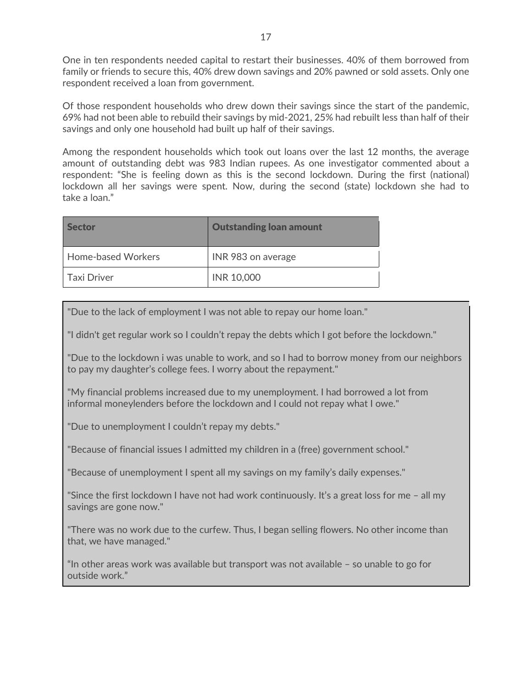One in ten respondents needed capital to restart their businesses. 40% of them borrowed from family or friends to secure this, 40% drew down savings and 20% pawned or sold assets. Only one respondent received a loan from government.

Of those respondent households who drew down their savings since the start of the pandemic, 69% had not been able to rebuild their savings by mid-2021, 25% had rebuilt less than half of their savings and only one household had built up half of their savings.

Among the respondent households which took out loans over the last 12 months, the average amount of outstanding debt was 983 Indian rupees. As one investigator commented about a respondent: "She is feeling down as this is the second lockdown. During the first (national) lockdown all her savings were spent. Now, during the second (state) lockdown she had to take a loan."

| <b>Sector</b>             | <b>Outstanding loan amount</b> |
|---------------------------|--------------------------------|
| <b>Home-based Workers</b> | INR 983 on average             |
| <b>Taxi Driver</b>        | <b>INR 10,000</b>              |

"Due to the lack of employment I was not able to repay our home loan."

"I didn't get regular work so I couldn't repay the debts which I got before the lockdown."

"Due to the lockdown i was unable to work, and so I had to borrow money from our neighbors to pay my daughter's college fees. I worry about the repayment."

"My financial problems increased due to my unemployment. I had borrowed a lot from informal moneylenders before the lockdown and I could not repay what I owe."

"Due to unemployment I couldn't repay my debts."

"Because of financial issues I admitted my children in a (free) government school."

"Because of unemployment I spent all my savings on my family's daily expenses."

"Since the first lockdown I have not had work continuously. It's a great loss for me – all my savings are gone now."

"There was no work due to the curfew. Thus, I began selling flowers. No other income than that, we have managed."

"In other areas work was available but transport was not available – so unable to go for outside work."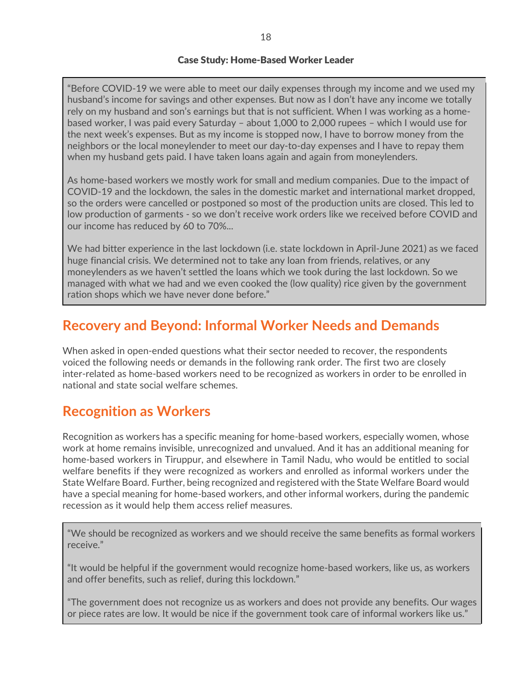#### Case Study: Home-Based Worker Leader

"Before COVID-19 we were able to meet our daily expenses through my income and we used my husband's income for savings and other expenses. But now as I don't have any income we totally rely on my husband and son's earnings but that is not sufficient. When I was working as a homebased worker, I was paid every Saturday – about 1,000 to 2,000 rupees – which I would use for the next week's expenses. But as my income is stopped now, I have to borrow money from the neighbors or the local moneylender to meet our day-to-day expenses and I have to repay them when my husband gets paid. I have taken loans again and again from moneylenders.

As home-based workers we mostly work for small and medium companies. Due to the impact of COVID-19 and the lockdown, the sales in the domestic market and international market dropped, so the orders were cancelled or postponed so most of the production units are closed. This led to low production of garments - so we don't receive work orders like we received before COVID and our income has reduced by 60 to 70%...

We had bitter experience in the last lockdown (i.e. state lockdown in April-June 2021) as we faced huge financial crisis. We determined not to take any loan from friends, relatives, or any moneylenders as we haven't settled the loans which we took during the last lockdown. So we managed with what we had and we even cooked the (low quality) rice given by the government ration shops which we have never done before."

## **Recovery and Beyond: Informal Worker Needs and Demands**

When asked in open-ended questions what their sector needed to recover, the respondents voiced the following needs or demands in the following rank order. The first two are closely inter-related as home-based workers need to be recognized as workers in order to be enrolled in national and state social welfare schemes.

### **Recognition as Workers**

Recognition as workers has a specific meaning for home-based workers, especially women, whose work at home remains invisible, unrecognized and unvalued. And it has an additional meaning for home-based workers in Tiruppur, and elsewhere in Tamil Nadu, who would be entitled to social welfare benefits if they were recognized as workers and enrolled as informal workers under the State Welfare Board. Further, being recognized and registered with the State Welfare Board would have a special meaning for home-based workers, and other informal workers, during the pandemic recession as it would help them access relief measures.

"We should be recognized as workers and we should receive the same benefits as formal workers receive."

"It would be helpful if the government would recognize home-based workers, like us, as workers and offer benefits, such as relief, during this lockdown."

"The government does not recognize us as workers and does not provide any benefits. Our wages or piece rates are low. It would be nice if the government took care of informal workers like us."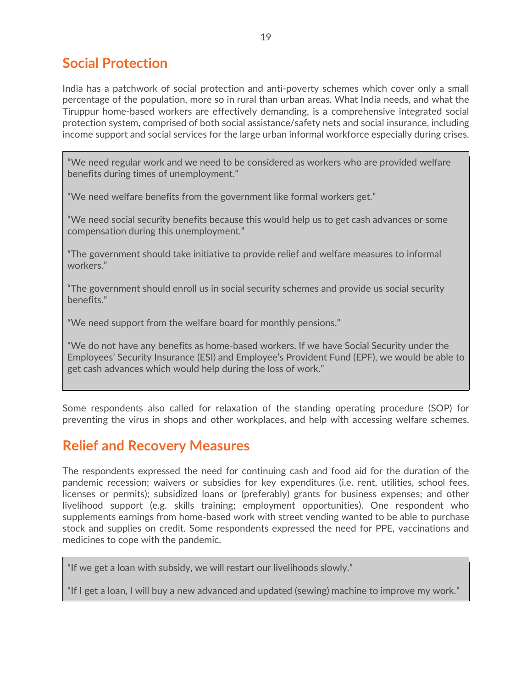## **Social Protection**

India has a patchwork of social protection and anti-poverty schemes which cover only a small percentage of the population, more so in rural than urban areas. What India needs, and what the Tiruppur home-based workers are effectively demanding, is a comprehensive integrated social protection system, comprised of both social assistance/safety nets and social insurance, including income support and social services for the large urban informal workforce especially during crises.

"We need regular work and we need to be considered as workers who are provided welfare benefits during times of unemployment."

"We need welfare benefits from the government like formal workers get."

"We need social security benefits because this would help us to get cash advances or some compensation during this unemployment."

"The government should take initiative to provide relief and welfare measures to informal workers."

"The government should enroll us in social security schemes and provide us social security benefits."

"We need support from the welfare board for monthly pensions."

"We do not have any benefits as home-based workers. If we have Social Security under the Employees' Security Insurance (ESI) and Employee's Provident Fund (EPF), we would be able to get cash advances which would help during the loss of work."

Some respondents also called for relaxation of the standing operating procedure (SOP) for preventing the virus in shops and other workplaces, and help with accessing welfare schemes.

### **Relief and Recovery Measures**

The respondents expressed the need for continuing cash and food aid for the duration of the pandemic recession; waivers or subsidies for key expenditures (i.e. rent, utilities, school fees, licenses or permits); subsidized loans or (preferably) grants for business expenses; and other livelihood support (e.g. skills training; employment opportunities). One respondent who supplements earnings from home-based work with street vending wanted to be able to purchase stock and supplies on credit. Some respondents expressed the need for PPE, vaccinations and medicines to cope with the pandemic.

"If we get a loan with subsidy, we will restart our livelihoods slowly."

"If I get a loan, I will buy a new advanced and updated (sewing) machine to improve my work."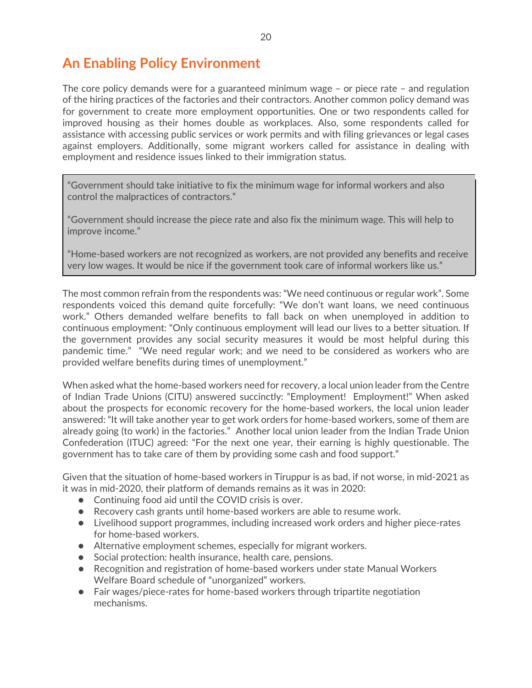# **An Enabling Policy Environment**

The core policy demands were for a guaranteed minimum wage – or piece rate – and regulation of the hiring practices of the factories and their contractors. Another common policy demand was for government to create more employment opportunities. One or two respondents called for improved housing as their homes double as workplaces. Also, some respondents called for assistance with accessing public services or work permits and with filing grievances or legal cases against employers. Additionally, some migrant workers called for assistance in dealing with employment and residence issues linked to their immigration status.

"Government should take initiative to fix the minimum wage for informal workers and also control the malpractices of contractors."

"Government should increase the piece rate and also fix the minimum wage. This will help to improve income."

"Home-based workers are not recognized as workers, are not provided any benefits and receive very low wages. It would be nice if the government took care of informal workers like us."

The most common refrain from the respondents was: "We need continuous or regular work". Some respondents voiced this demand quite forcefully: "We don't want loans, we need continuous work." Others demanded welfare benefits to fall back on when unemployed in addition to continuous employment: "Only continuous employment will lead our lives to a better situation. If the government provides any social security measures it would be most helpful during this pandemic time." "We need regular work; and we need to be considered as workers who are provided welfare benefits during times of unemployment."

When asked what the home-based workers need for recovery, a local union leader from the Centre of Indian Trade Unions (CITU) answered succinctly: "Employment! Employment!" When asked about the prospects for economic recovery for the home-based workers, the local union leader answered: "It will take another year to get work orders for home-based workers, some of them are already going (to work) in the factories." Another local union leader from the Indian Trade Union Confederation (ITUC) agreed: "For the next one year, their earning is highly questionable. The government has to take care of them by providing some cash and food support."

Given that the situation of home-based workers in Tiruppur is as bad, if not worse, in mid-2021 as it was in mid-2020, their platform of demands remains as it was in 2020:

- Continuing food aid until the COVID crisis is over.
- Recovery cash grants until home-based workers are able to resume work.
- Livelihood support programmes, including increased work orders and higher piece-rates for home-based workers.
- Alternative employment schemes, especially for migrant workers.
- Social protection: health insurance, health care, pensions.
- Recognition and registration of home-based workers under state Manual Workers Welfare Board schedule of "unorganized" workers.
- Fair wages/piece-rates for home-based workers through tripartite negotiation mechanisms.